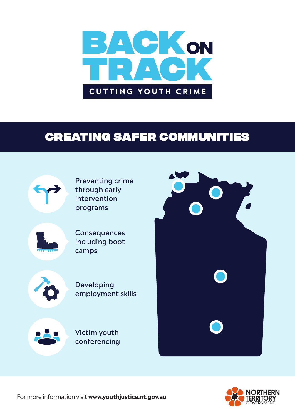

# CREATING SAFER COMMUNITIES



Preventing crime through early intervention programs



**Consequences** including boot camps



Developing employment skills



Victim youth conferencing